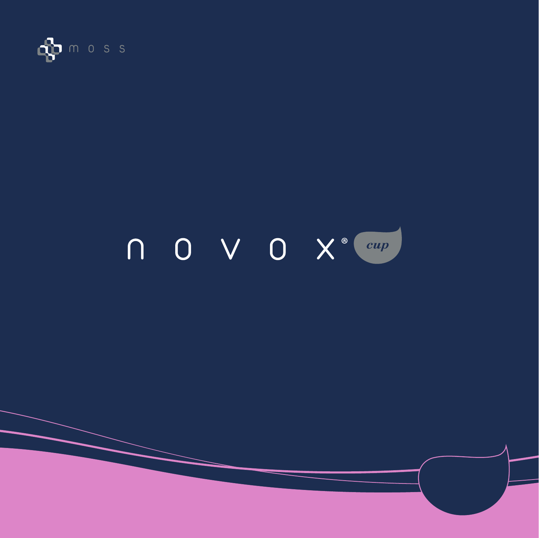

# $\begin{array}{|c|c|c|c|}\n\hline\n0 & \sqrt{0} & \chi^{\circ} & \hline\n\end{array}$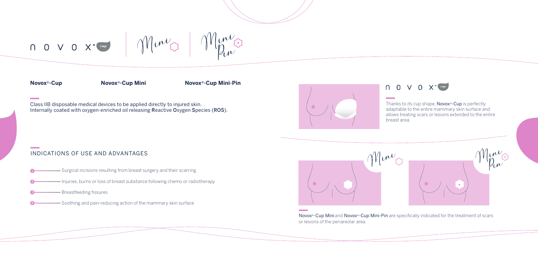

## $\bigcap$  0  $\vee$  0  $X^{\circ}$   $\boxed{cup}$

 $\mu\dot{\nu}_{\Omega}$  $\gamma$ 

**Contract Contract** 

**Contract Contract** 

Class IIB disposable medical devices to be applied directly to injured skin. Internally coated with oxygen-enriched oil releasing Reactive Oxygen Species (ROS). Thanks to its cup shape, Novox<sup>®</sup>-Cup is perfectly adaptable to the entire mammary skin surface and allows treating scars or lesions extended to the entire

Novox<sup>®</sup>-Cup Mini and Novox<sup>®</sup>-Cup Mini-Pin are specifically indicated for the treatment of scars or lesions of the periareolar area.

### $\bigcap$  0 V 0 X  $\left(\begin{array}{cc} c u p \end{array}\right)$

- Surgical incisions resulting from breast surgery and their scarring **1**
- Injuries, burns or loss of breast substance following chemo or radiotherapy
- Breastfeeding fissures **3**
- Soothing and pain-reducing action of the mammary skin surface **4**







**Novox**®**-Cup Novox**® **Novox**®**-Cup Mini -Cup Mini-Pin**

### INDICATIONS OF USE AND ADVANTAGES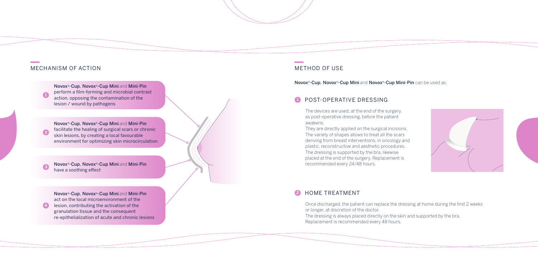Novox®-Cup, Novox®-Cup Mini and Mini-Pin perform a film-forming and microbial contrast action, opposing the contamination of the lesion / wound by pathogens

> The devices are used, at the end of the surgery, as post-operative dressing, before the patient awakens.

They are directly applied on the surgical incisions. The variety of shapes allows to treat all the scars deriving from breast interventions, in oncology and plastic, reconstructive and aesthetic procedures. The dressing is supported by the bra, likewise placed at the end of the surgery. Replacement is recommended every 24/48 hours.

### POST-OPERATIVE DRESSING **1**

### MECHANISM OF ACTION NETHOD OF USE

**1**

Novox®-Cup, Novox®-Cup Mini and Mini-Pin facilitate the healing of surgical scars or chronic skin lesions, by creating a local favourable environment for optimizing skin microcirculation **2**

Novox®-Cup, Novox®-Cup Mini and Mini-Pin have a soothing effect **<sup>3</sup>**

Novox®-Cup, Novox®-Cup Mini and Mini-Pin act on the local microenvironment of the lesion, contributing the activation of the granulation tissue and the consequent re-epithelialization of acute and chronic lesions

**4**

Novox®-Cup, Novox®-Cup Mini and Novox®-Cup Mini-Pin can be used as:

### HOME TREATMENT **2**

Once discharged, the patient can replace the dressing at home during the first 2 weeks or longer, at discretion of the doctor. The dressing is always placed directly on the skin and supported by the bra. Replacement is recommended every 48 hours.



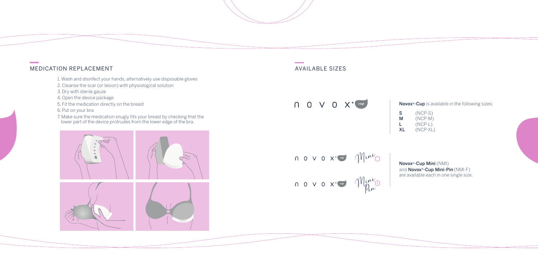- 1. Wash and disinfect your hands, alternatively use disposable gloves
- 2. Cleanse the scar (or lesion) with physiological solution
- 3. Dry with sterile gauze
- 4. Open the device package
- 5. Fit the medication directly on the breast
- 6. Put on your bra
- 7. Make sure the medication snugly fits your breast by checking that the lower part of the device protrudes from the lower edge of the bra.





**Contractor** 

 $\bigcap$  0  $\vee$  0  $X$ <sup>o</sup>  $\boxed{cup}$ 





Novox®-Cup Mini (NMI) and **Novox<sup>®</sup>-Cup Mini-Pin** (NMI-F) are available each in one single size.

Novox<sup>®</sup>-Cup is available in the following sizes:

 $S$  (NCP-S)<br> $M$  (NCP-M)  $(NCP-M)$ L (NCP-L)<br>XL (NCP-XL  $(NCP-XL)$ 



**Contract Contract**